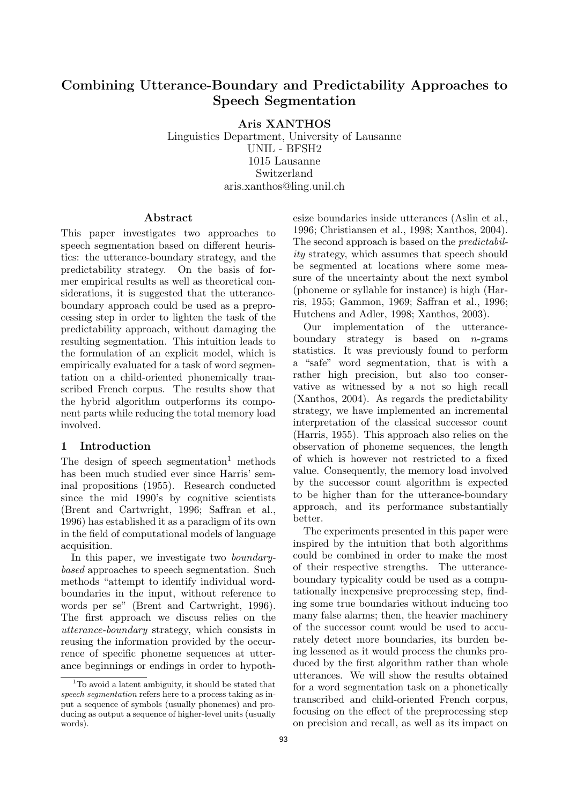# Combining Utterance-Boundary and Predictability Approaches to Speech Segmentation

Aris XANTHOS

Linguistics Department, University of Lausanne UNIL - BFSH2 1015 Lausanne Switzerland aris.xanthos@ling.unil.ch

## Abstract

This paper investigates two approaches to speech segmentation based on different heuristics: the utterance-boundary strategy, and the predictability strategy. On the basis of former empirical results as well as theoretical considerations, it is suggested that the utteranceboundary approach could be used as a preprocessing step in order to lighten the task of the predictability approach, without damaging the resulting segmentation. This intuition leads to the formulation of an explicit model, which is empirically evaluated for a task of word segmentation on a child-oriented phonemically transcribed French corpus. The results show that the hybrid algorithm outperforms its component parts while reducing the total memory load involved.

# 1 Introduction

The design of speech segmentation<sup>1</sup> methods has been much studied ever since Harris' seminal propositions (1955). Research conducted since the mid 1990's by cognitive scientists (Brent and Cartwright, 1996; Saffran et al., 1996) has established it as a paradigm of its own in the field of computational models of language acquisition.

In this paper, we investigate two boundarybased approaches to speech segmentation. Such methods "attempt to identify individual wordboundaries in the input, without reference to words per se" (Brent and Cartwright, 1996). The first approach we discuss relies on the utterance-boundary strategy, which consists in reusing the information provided by the occurrence of specific phoneme sequences at utterance beginnings or endings in order to hypothesize boundaries inside utterances (Aslin et al., 1996; Christiansen et al., 1998; Xanthos, 2004). The second approach is based on the predictability strategy, which assumes that speech should be segmented at locations where some measure of the uncertainty about the next symbol (phoneme or syllable for instance) is high (Harris, 1955; Gammon, 1969; Saffran et al., 1996; Hutchens and Adler, 1998; Xanthos, 2003).

Our implementation of the utteranceboundary strategy is based on  $n$ -grams statistics. It was previously found to perform a "safe" word segmentation, that is with a rather high precision, but also too conservative as witnessed by a not so high recall (Xanthos, 2004). As regards the predictability strategy, we have implemented an incremental interpretation of the classical successor count (Harris, 1955). This approach also relies on the observation of phoneme sequences, the length of which is however not restricted to a fixed value. Consequently, the memory load involved by the successor count algorithm is expected to be higher than for the utterance-boundary approach, and its performance substantially better.

The experiments presented in this paper were inspired by the intuition that both algorithms could be combined in order to make the most of their respective strengths. The utteranceboundary typicality could be used as a computationally inexpensive preprocessing step, finding some true boundaries without inducing too many false alarms; then, the heavier machinery of the successor count would be used to accurately detect more boundaries, its burden being lessened as it would process the chunks produced by the first algorithm rather than whole utterances. We will show the results obtained for a word segmentation task on a phonetically transcribed and child-oriented French corpus, focusing on the effect of the preprocessing step on precision and recall, as well as its impact on

<sup>&</sup>lt;sup>1</sup>To avoid a latent ambiguity, it should be stated that speech segmentation refers here to a process taking as input a sequence of symbols (usually phonemes) and producing as output a sequence of higher-level units (usually words).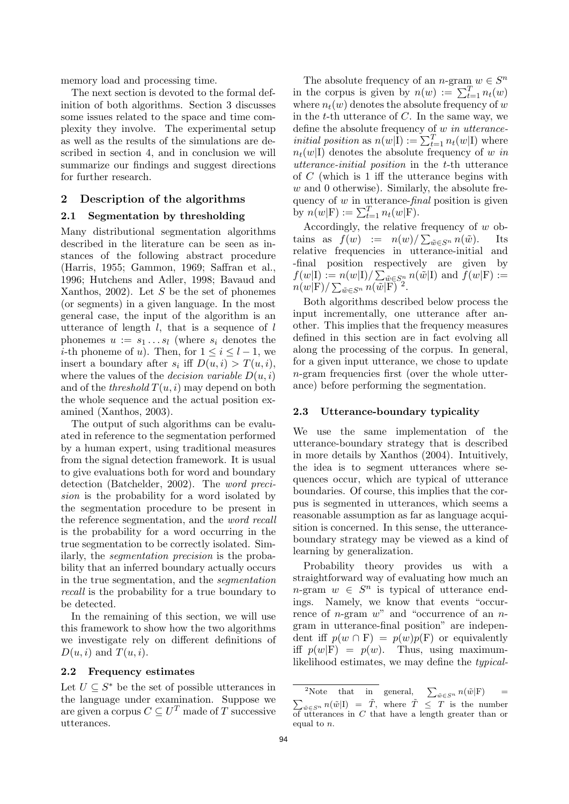memory load and processing time.

The next section is devoted to the formal definition of both algorithms. Section 3 discusses some issues related to the space and time complexity they involve. The experimental setup as well as the results of the simulations are described in section 4, and in conclusion we will summarize our findings and suggest directions for further research.

# 2 Description of the algorithms

## 2.1 Segmentation by thresholding

Many distributional segmentation algorithms described in the literature can be seen as instances of the following abstract procedure (Harris, 1955; Gammon, 1969; Saffran et al., 1996; Hutchens and Adler, 1998; Bavaud and Xanthos, 2002). Let  $S$  be the set of phonemes (or segments) in a given language. In the most general case, the input of the algorithm is an utterance of length  $l$ , that is a sequence of  $l$ phonemes  $u := s_1 \dots s_l$  (where  $s_i$  denotes the *i*-th phoneme of u). Then, for  $1 \leq i \leq l-1$ , we insert a boundary after  $s_i$  iff  $D(u, i) > T(u, i)$ , where the values of the *decision variable*  $D(u, i)$ and of the *threshold*  $T(u, i)$  may depend on both the whole sequence and the actual position examined (Xanthos, 2003).

The output of such algorithms can be evaluated in reference to the segmentation performed by a human expert, using traditional measures from the signal detection framework. It is usual to give evaluations both for word and boundary detection (Batchelder, 2002). The word precision is the probability for a word isolated by the segmentation procedure to be present in the reference segmentation, and the word recall is the probability for a word occurring in the true segmentation to be correctly isolated. Similarly, the segmentation precision is the probability that an inferred boundary actually occurs in the true segmentation, and the segmentation recall is the probability for a true boundary to be detected.

In the remaining of this section, we will use this framework to show how the two algorithms we investigate rely on different definitions of  $D(u, i)$  and  $T(u, i)$ .

#### 2.2 Frequency estimates

Let  $U \subseteq S^*$  be the set of possible utterances in the language under examination. Suppose we are given a corpus  $C \subseteq U^T$  made of T successive utterances.

The absolute frequency of an *n*-gram  $w \in S^n$ in the corpus is given by  $n(w) := \sum_{t=1}^{T} n_t(w)$ where  $n_t(w)$  denotes the absolute frequency of w in the t-th utterance of  $C$ . In the same way, we define the absolute frequency of w in utterance*initial position* as  $n(w|\mathbf{I}) := \sum_{t=1}^{T} n_t(w|\mathbf{I})$  where  $n_t(w|I)$  denotes the absolute frequency of w in utterance-initial position in the t-th utterance of C (which is 1 iff the utterance begins with  $w$  and 0 otherwise). Similarly, the absolute frequency of  $w$  in utterance- $\text{final}$  position is given by  $n(w|F) := \sum_{t=1}^{T} n_t(w|F)$ .

Accordingly, the relative frequency of w obtains as  $f(w) := n(w)/\sum_{\tilde{w} \in S^n} n(\tilde{w})$ . Its relative frequencies in utterance-initial and -final position respectively are given by  $f(w|\mathbf{I}) := n(w|\mathbf{I})/\sum_{\tilde{w}\in S_n^n} n(\tilde{w}|\mathbf{I})$  and  $f(w|\mathbf{F}) :=$  $n(w|\text{F})/\sum_{\tilde{w}\in S^n}n(\tilde{w}|\text{F})^2$ .

Both algorithms described below process the input incrementally, one utterance after another. This implies that the frequency measures defined in this section are in fact evolving all along the processing of the corpus. In general, for a given input utterance, we chose to update n-gram frequencies first (over the whole utterance) before performing the segmentation.

#### 2.3 Utterance-boundary typicality

We use the same implementation of the utterance-boundary strategy that is described in more details by Xanthos (2004). Intuitively, the idea is to segment utterances where sequences occur, which are typical of utterance boundaries. Of course, this implies that the corpus is segmented in utterances, which seems a reasonable assumption as far as language acquisition is concerned. In this sense, the utteranceboundary strategy may be viewed as a kind of learning by generalization.

Probability theory provides us with a straightforward way of evaluating how much an  $n$ -gram  $w \in S^n$  is typical of utterance endings. Namely, we know that events "occurrence of *n*-gram  $w^2$  and "occurrence of an *n*gram in utterance-final position" are independent iff  $p(w \cap F) = p(w)p(F)$  or equivalently iff  $p(w|F) = p(w)$ . Thus, using maximumlikelihood estimates, we may define the typical-

<sup>&</sup>lt;sup>2</sup>Note that in general,  $\sum_{\tilde{w} \in S^n} n(\tilde{w} | \text{F})$  =  $\sum_{\tilde{w} \in S^n} n(\tilde{w} | I) = \tilde{T}$ , where  $\tilde{T} \leq T$  is the number of utterances in  $C$  that have a length greater than or equal to n.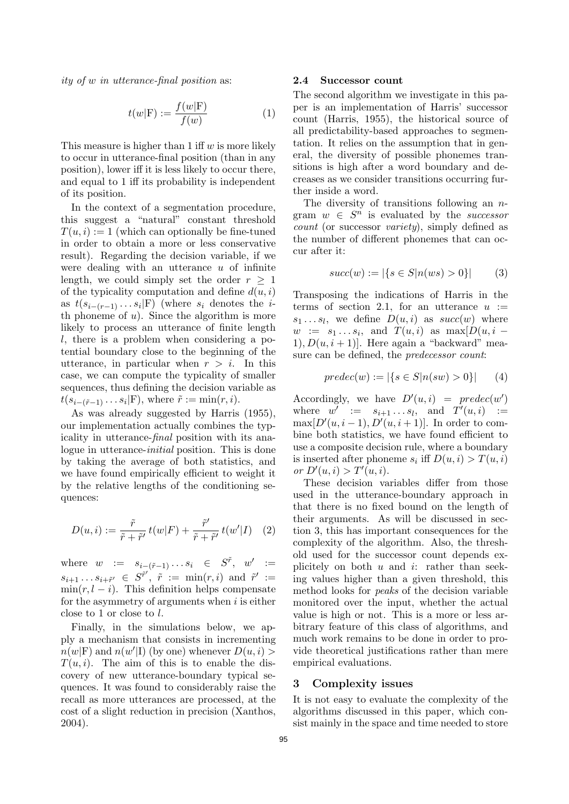ity of w in utterance-final position as:

$$
t(w|\mathcal{F}) := \frac{f(w|\mathcal{F})}{f(w)}\tag{1}
$$

This measure is higher than 1 iff  $w$  is more likely to occur in utterance-final position (than in any position), lower iff it is less likely to occur there, and equal to 1 iff its probability is independent of its position.

In the context of a segmentation procedure, this suggest a "natural" constant threshold  $T(u, i) := 1$  (which can optionally be fine-tuned in order to obtain a more or less conservative result). Regarding the decision variable, if we were dealing with an utterance  $u$  of infinite length, we could simply set the order  $r > 1$ of the typicality computation and define  $d(u, i)$ as  $t(s_{i-(r-1)}\ldots s_i|\text{F})$  (where  $s_i$  denotes the *i*th phoneme of  $u$ ). Since the algorithm is more likely to process an utterance of finite length l, there is a problem when considering a potential boundary close to the beginning of the utterance, in particular when  $r > i$ . In this case, we can compute the typicality of smaller sequences, thus defining the decision variable as  $t(s_{i-(\tilde{r}-1)}\ldots s_i|\text{F})$ , where  $\tilde{r} := \min(r, i)$ .

As was already suggested by Harris (1955), our implementation actually combines the typicality in utterance-final position with its analogue in utterance-initial position. This is done by taking the average of both statistics, and we have found empirically efficient to weight it by the relative lengths of the conditioning sequences:

$$
D(u,i) := \frac{\tilde{r}}{\tilde{r} + \tilde{r}'} t(w|F) + \frac{\tilde{r}'}{\tilde{r} + \tilde{r}'} t(w'|I) \quad (2)
$$

where  $w := s_{i-(\tilde{r}-1)} \dots s_i \in S^{\tilde{r}}, w' :=$  $s_{i+1} \ldots s_{i+\tilde{r}'} \in S^{\tilde{r}'}, \tilde{r} := \min(r, i) \text{ and } \tilde{r}' :=$  $min(r, l - i)$ . This definition helps compensate for the asymmetry of arguments when  $i$  is either close to 1 or close to l.

Finally, in the simulations below, we apply a mechanism that consists in incrementing  $\overline{n}(w|F)$  and  $n(w'|I)$  (by one) whenever  $D(u, i)$  $T(u, i)$ . The aim of this is to enable the discovery of new utterance-boundary typical sequences. It was found to considerably raise the recall as more utterances are processed, at the cost of a slight reduction in precision (Xanthos, 2004).

#### 2.4 Successor count

The second algorithm we investigate in this paper is an implementation of Harris' successor count (Harris, 1955), the historical source of all predictability-based approaches to segmentation. It relies on the assumption that in general, the diversity of possible phonemes transitions is high after a word boundary and decreases as we consider transitions occurring further inside a word.

The diversity of transitions following an  $n$ gram  $w \in S^{n}$  is evaluated by the *successor* count (or successor variety), simply defined as the number of different phonemes that can occur after it:

$$
succ(w) := |\{ s \in S | n(ws) > 0 \}|
$$
 (3)

Transposing the indications of Harris in the terms of section 2.1, for an utterance  $u :=$  $s_1 \ldots s_l$ , we define  $D(u, i)$  as  $succ(w)$  where  $w := s_1 \dots s_i$ , and  $T(u,i)$  as  $\max[D(u,i -$ 1),  $D(u, i + 1)$ . Here again a "backward" measure can be defined, the predecessor count:

$$
predec(w) := |\{ s \in S | n(sw) > 0 \}| \qquad (4)
$$

Accordingly, we have  $D'(u, i) = \text{predec}(w')$ where  $w' := s_{i+1} \dots s_l$ , and  $T'(u, i) :=$  $\max[D'(u, i-1), D'(u, i+1)].$  In order to combine both statistics, we have found efficient to use a composite decision rule, where a boundary is inserted after phoneme  $s_i$  iff  $D(u, i) > T(u, i)$ or  $D'(u, i) > T'(u, i)$ .

These decision variables differ from those used in the utterance-boundary approach in that there is no fixed bound on the length of their arguments. As will be discussed in section 3, this has important consequences for the complexity of the algorithm. Also, the threshold used for the successor count depends explicitely on both  $u$  and  $i$ : rather than seeking values higher than a given threshold, this method looks for peaks of the decision variable monitored over the input, whether the actual value is high or not. This is a more or less arbitrary feature of this class of algorithms, and much work remains to be done in order to provide theoretical justifications rather than mere empirical evaluations.

#### 3 Complexity issues

It is not easy to evaluate the complexity of the algorithms discussed in this paper, which consist mainly in the space and time needed to store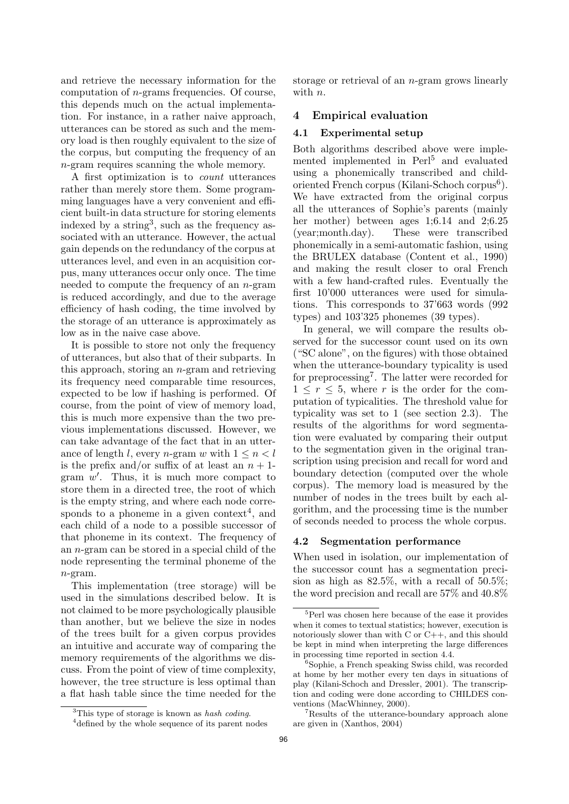and retrieve the necessary information for the computation of  $n$ -grams frequencies. Of course, this depends much on the actual implementation. For instance, in a rather naive approach, utterances can be stored as such and the memory load is then roughly equivalent to the size of the corpus, but computing the frequency of an n-gram requires scanning the whole memory.

A first optimization is to count utterances rather than merely store them. Some programming languages have a very convenient and efficient built-in data structure for storing elements indexed by a string<sup>3</sup>, such as the frequency associated with an utterance. However, the actual gain depends on the redundancy of the corpus at utterances level, and even in an acquisition corpus, many utterances occur only once. The time needed to compute the frequency of an n-gram is reduced accordingly, and due to the average efficiency of hash coding, the time involved by the storage of an utterance is approximately as low as in the naive case above.

It is possible to store not only the frequency of utterances, but also that of their subparts. In this approach, storing an n-gram and retrieving its frequency need comparable time resources, expected to be low if hashing is performed. Of course, from the point of view of memory load, this is much more expensive than the two previous implementations discussed. However, we can take advantage of the fact that in an utterance of length l, every n-gram w with  $1 \leq n \leq l$ is the prefix and/or suffix of at least an  $n + 1$ gram  $w'$ . Thus, it is much more compact to store them in a directed tree, the root of which is the empty string, and where each node corresponds to a phoneme in a given context<sup>4</sup>, and each child of a node to a possible successor of that phoneme in its context. The frequency of an n-gram can be stored in a special child of the node representing the terminal phoneme of the n-gram.

This implementation (tree storage) will be used in the simulations described below. It is not claimed to be more psychologically plausible than another, but we believe the size in nodes of the trees built for a given corpus provides an intuitive and accurate way of comparing the memory requirements of the algorithms we discuss. From the point of view of time complexity, however, the tree structure is less optimal than a flat hash table since the time needed for the

storage or retrieval of an n-gram grows linearly with *n*.

## 4 Empirical evaluation

#### 4.1 Experimental setup

Both algorithms described above were implemented implemented in Perl<sup>5</sup> and evaluated using a phonemically transcribed and childoriented French corpus (Kilani-Schoch corpus<sup>6</sup>). We have extracted from the original corpus all the utterances of Sophie's parents (mainly her mother) between ages 1;6.14 and 2;6.25 (year;month.day). These were transcribed phonemically in a semi-automatic fashion, using the BRULEX database (Content et al., 1990) and making the result closer to oral French with a few hand-crafted rules. Eventually the first 10'000 utterances were used for simulations. This corresponds to 37'663 words (992 types) and 103'325 phonemes (39 types).

In general, we will compare the results observed for the successor count used on its own ("SC alone", on the figures) with those obtained when the utterance-boundary typicality is used for preprocessing<sup>7</sup>. The latter were recorded for  $1 \leq r \leq 5$ , where r is the order for the computation of typicalities. The threshold value for typicality was set to 1 (see section 2.3). The results of the algorithms for word segmentation were evaluated by comparing their output to the segmentation given in the original transcription using precision and recall for word and boundary detection (computed over the whole corpus). The memory load is measured by the number of nodes in the trees built by each algorithm, and the processing time is the number of seconds needed to process the whole corpus.

#### 4.2 Segmentation performance

When used in isolation, our implementation of the successor count has a segmentation precision as high as 82.5%, with a recall of 50.5%; the word precision and recall are 57% and 40.8%

<sup>&</sup>lt;sup>3</sup>This type of storage is known as hash coding.

<sup>&</sup>lt;sup>4</sup> defined by the whole sequence of its parent nodes

<sup>5</sup>Perl was chosen here because of the ease it provides when it comes to textual statistics; however, execution is notoriously slower than with C or C++, and this should be kept in mind when interpreting the large differences in processing time reported in section 4.4.

<sup>6</sup>Sophie, a French speaking Swiss child, was recorded at home by her mother every ten days in situations of play (Kilani-Schoch and Dressler, 2001). The transcription and coding were done according to CHILDES conventions (MacWhinney, 2000).

<sup>7</sup>Results of the utterance-boundary approach alone are given in (Xanthos, 2004)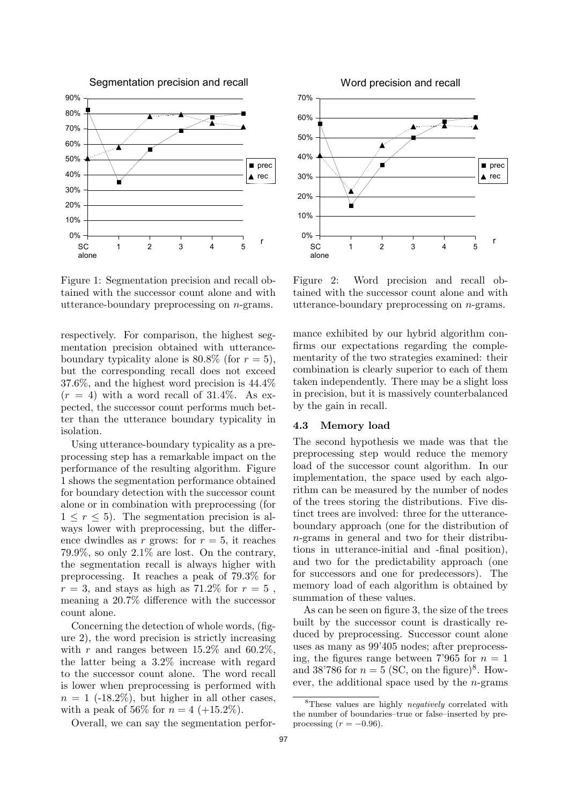

Figure 1: Segmentation precision and recall obtained with the successor count alone and with utterance-boundary preprocessing on n-grams.

respectively. For comparison, the highest segmentation precision obtained with utteranceboundary typicality alone is  $80.8\%$  (for  $r = 5$ ), but the corresponding recall does not exceed 37.6%, and the highest word precision is 44.4%  $(r = 4)$  with a word recall of 31.4%. As expected, the successor count performs much better than the utterance boundary typicality in isolation.

Using utterance-boundary typicality as a preprocessing step has a remarkable impact on the performance of the resulting algorithm. Figure 1 shows the segmentation performance obtained for boundary detection with the successor count alone or in combination with preprocessing (for  $1 \leq r \leq 5$ . The segmentation precision is always lower with preprocessing, but the difference dwindles as r grows: for  $r = 5$ , it reaches 79.9%, so only 2.1% are lost. On the contrary, the segmentation recall is always higher with preprocessing. It reaches a peak of 79.3% for  $r = 3$ , and stays as high as 71.2\% for  $r = 5$ , meaning a 20.7% difference with the successor count alone.

Concerning the detection of whole words, (figure 2), the word precision is strictly increasing with r and ranges between  $15.2\%$  and  $60.2\%$ , the latter being a 3.2% increase with regard to the successor count alone. The word recall is lower when preprocessing is performed with  $n = 1$  (-18.2%), but higher in all other cases, with a peak of 56% for  $n = 4$  (+15.2%).

Overall, we can say the segmentation perfor-



Figure 2: Word precision and recall obtained with the successor count alone and with utterance-boundary preprocessing on n-grams.

mance exhibited by our hybrid algorithm confirms our expectations regarding the complementarity of the two strategies examined: their combination is clearly superior to each of them taken independently. There may be a slight loss in precision, but it is massively counterbalanced by the gain in recall.

# 4.3 Memory load

The second hypothesis we made was that the preprocessing step would reduce the memory load of the successor count algorithm. In our implementation, the space used by each algorithm can be measured by the number of nodes of the trees storing the distributions. Five distinct trees are involved: three for the utteranceboundary approach (one for the distribution of n-grams in general and two for their distributions in utterance-initial and -final position), and two for the predictability approach (one for successors and one for predecessors). The memory load of each algorithm is obtained by summation of these values.

As can be seen on figure 3, the size of the trees built by the successor count is drastically reduced by preprocessing. Successor count alone uses as many as 99'405 nodes; after preprocessing, the figures range between 7'965 for  $n = 1$ and 38'786 for  $n = 5$  (SC, on the figure)<sup>8</sup>. However, the additional space used by the  $n$ -grams

<sup>8</sup>These values are highly negatively correlated with the number of boundaries–true or false–inserted by preprocessing  $(r = -0.96)$ .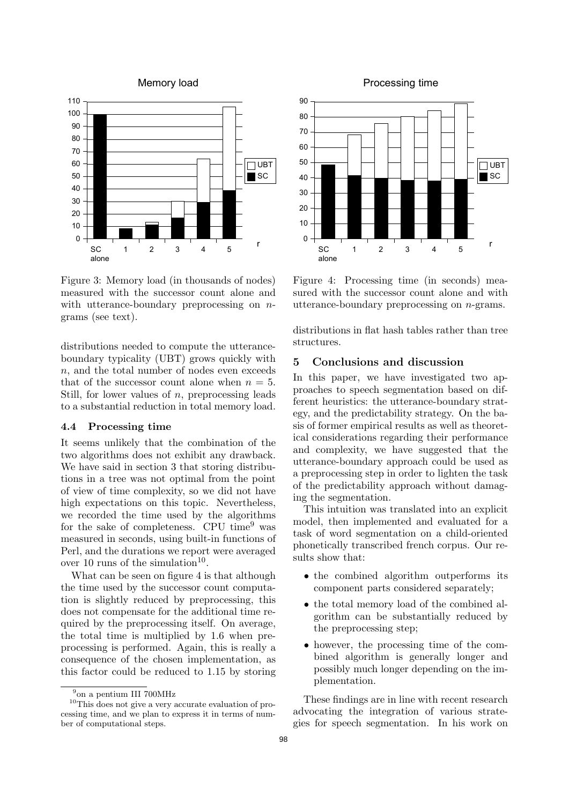



Figure 3: Memory load (in thousands of nodes) measured with the successor count alone and with utterance-boundary preprocessing on  $n$ grams (see text).

distributions needed to compute the utteranceboundary typicality (UBT) grows quickly with  $n$ , and the total number of nodes even exceeds that of the successor count alone when  $n = 5$ . Still, for lower values of  $n$ , preprocessing leads to a substantial reduction in total memory load.

#### 4.4 Processing time

It seems unlikely that the combination of the two algorithms does not exhibit any drawback. We have said in section 3 that storing distributions in a tree was not optimal from the point of view of time complexity, so we did not have high expectations on this topic. Nevertheless, we recorded the time used by the algorithms for the sake of completeness. CPU time<sup>9</sup> was measured in seconds, using built-in functions of Perl, and the durations we report were averaged over 10 runs of the simulation<sup>10</sup>.

What can be seen on figure 4 is that although the time used by the successor count computation is slightly reduced by preprocessing, this does not compensate for the additional time required by the preprocessing itself. On average, the total time is multiplied by 1.6 when preprocessing is performed. Again, this is really a consequence of the chosen implementation, as this factor could be reduced to 1.15 by storing

Processing time



Figure 4: Processing time (in seconds) measured with the successor count alone and with utterance-boundary preprocessing on n-grams.

distributions in flat hash tables rather than tree structures.

# 5 Conclusions and discussion

In this paper, we have investigated two approaches to speech segmentation based on different heuristics: the utterance-boundary strategy, and the predictability strategy. On the basis of former empirical results as well as theoretical considerations regarding their performance and complexity, we have suggested that the utterance-boundary approach could be used as a preprocessing step in order to lighten the task of the predictability approach without damaging the segmentation.

This intuition was translated into an explicit model, then implemented and evaluated for a task of word segmentation on a child-oriented phonetically transcribed french corpus. Our results show that:

- the combined algorithm outperforms its component parts considered separately;
- the total memory load of the combined algorithm can be substantially reduced by the preprocessing step;
- however, the processing time of the combined algorithm is generally longer and possibly much longer depending on the implementation.

These findings are in line with recent research advocating the integration of various strategies for speech segmentation. In his work on

<sup>9</sup> on a pentium III 700MHz

<sup>10</sup>This does not give a very accurate evaluation of processing time, and we plan to express it in terms of number of computational steps.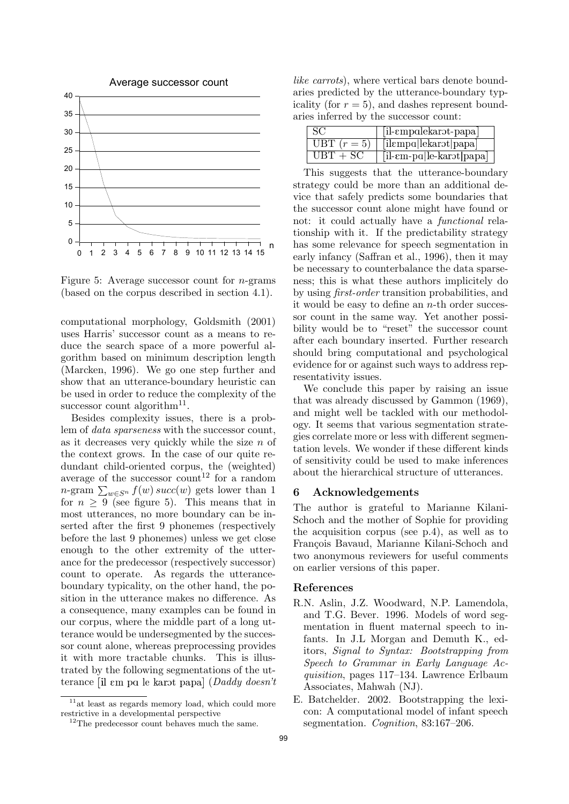

Figure 5: Average successor count for *n*-grams (based on the corpus described in section 4.1).

computational morphology, Goldsmith (2001) uses Harris' successor count as a means to reduce the search space of a more powerful algorithm based on minimum description length (Marcken, 1996). We go one step further and show that an utterance-boundary heuristic can be used in order to reduce the complexity of the successor count algorithm<sup>11</sup>.

Besides complexity issues, there is a problem of data sparseness with the successor count, as it decreases very quickly while the size  $n$  of the context grows. In the case of our quite redundant child-oriented corpus, the (weighted) average of the successor count<sup>12</sup> for a random  $n$ -gram  $\sum_{w \in S^n} f(w)$  succ $(w)$  gets lower than 1 for  $n \geq 9$  (see figure 5). This means that in most utterances, no more boundary can be inserted after the first 9 phonemes (respectively before the last 9 phonemes) unless we get close enough to the other extremity of the utterance for the predecessor (respectively successor) count to operate. As regards the utteranceboundary typicality, on the other hand, the position in the utterance makes no difference. As a consequence, many examples can be found in our corpus, where the middle part of a long utterance would be undersegmented by the successor count alone, whereas preprocessing provides it with more tractable chunks. This is illustrated by the following segmentations of the utterance [il ɛm pɑ le karɔt papa] ( $Daddy\ doesn't$ 

like carrots), where vertical bars denote boundaries predicted by the utterance-boundary typicality (for  $r = 5$ ), and dashes represent boundaries inferred by the successor count:

|             | $[i]$ - $empalekarot-papa]$                     |
|-------------|-------------------------------------------------|
| UBT $(r=5)$ | [ilempa lekarət papa]                           |
| $UBT + SC$  | $[i]$ - $\epsilon$ m-pa le-kar $\epsilon$  papa |

This suggests that the utterance-boundary strategy could be more than an additional device that safely predicts some boundaries that the successor count alone might have found or not: it could actually have a functional relationship with it. If the predictability strategy has some relevance for speech segmentation in early infancy (Saffran et al., 1996), then it may be necessary to counterbalance the data sparseness; this is what these authors implicitely do by using first-order transition probabilities, and it would be easy to define an  $n$ -th order successor count in the same way. Yet another possibility would be to "reset" the successor count after each boundary inserted. Further research should bring computational and psychological evidence for or against such ways to address representativity issues.

We conclude this paper by raising an issue that was already discussed by Gammon (1969), and might well be tackled with our methodology. It seems that various segmentation strategies correlate more or less with different segmentation levels. We wonder if these different kinds of sensitivity could be used to make inferences about the hierarchical structure of utterances.

#### 6 Acknowledgements

The author is grateful to Marianne Kilani-Schoch and the mother of Sophie for providing the acquisition corpus (see p.4), as well as to François Bavaud, Marianne Kilani-Schoch and two anonymous reviewers for useful comments on earlier versions of this paper.

# References

- R.N. Aslin, J.Z. Woodward, N.P. Lamendola, and T.G. Bever. 1996. Models of word segmentation in fluent maternal speech to infants. In J.L Morgan and Demuth K., editors, Signal to Syntax: Bootstrapping from Speech to Grammar in Early Language Acquisition, pages 117–134. Lawrence Erlbaum Associates, Mahwah (NJ).
- E. Batchelder. 2002. Bootstrapping the lexicon: A computational model of infant speech segmentation. Cognition, 83:167–206.

<sup>&</sup>lt;sup>11</sup>at least as regards memory load, which could more restrictive in a developmental perspective

<sup>&</sup>lt;sup>12</sup>The predecessor count behaves much the same.